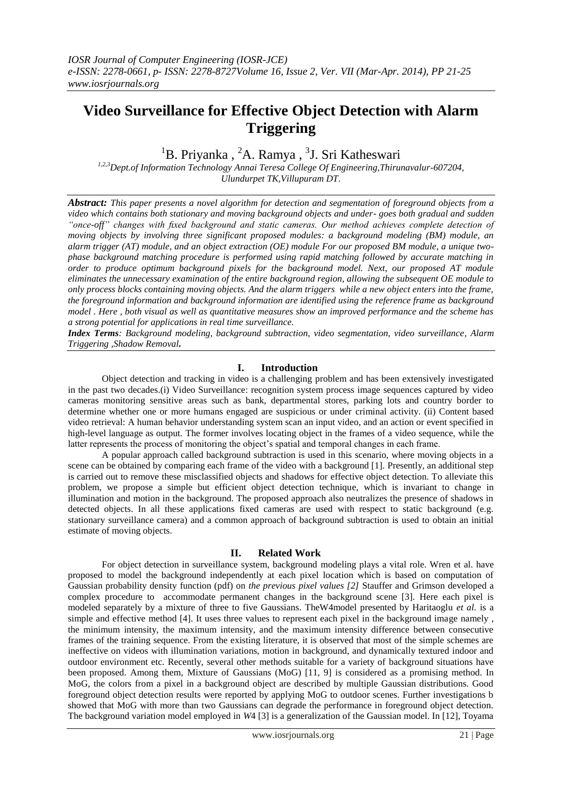# **Video Surveillance for Effective Object Detection with Alarm Triggering**

<sup>1</sup>B. Priyanka, <sup>2</sup>A. Ramya, <sup>3</sup>J. Sri Katheswari

*1,2,3Dept.of Information Technology Annai Teresa College Of Engineering,Thirunavalur-607204, Ulundurpet TK,Villupuram DT*.

*Abstract: This paper presents a novel algorithm for detection and segmentation of foreground objects from a video which contains both stationary and moving background objects and under- goes both gradual and sudden "once-off" changes with fixed background and static cameras. Our method achieves complete detection of moving objects by involving three significant proposed modules: a background modeling (BM) module, an alarm trigger (AT) module, and an object extraction (OE) module For our proposed BM module, a unique twophase background matching procedure is performed using rapid matching followed by accurate matching in order to produce optimum background pixels for the background model. Next, our proposed AT module eliminates the unnecessary examination of the entire background region, allowing the subsequent OE module to only process blocks containing moving objects. And the alarm triggers while a new object enters into the frame, the foreground information and background information are identified using the reference frame as background model . Here , both visual as well as quantitative measures show an improved performance and the scheme has a strong potential for applications in real time surveillance.*

*Index Terms: Background modeling, background subtraction, video segmentation, video surveillance, Alarm Triggering ,Shadow Removal.*

#### **I. Introduction**

Object detection and tracking in video is a challenging problem and has been extensively investigated in the past two decades.(i) Video Surveillance: recognition system process image sequences captured by video cameras monitoring sensitive areas such as bank, departmental stores, parking lots and country border to determine whether one or more humans engaged are suspicious or under criminal activity. (ii) Content based video retrieval: A human behavior understanding system scan an input video, and an action or event specified in high-level language as output. The former involves locating object in the frames of a video sequence, while the latter represents the process of monitoring the object's spatial and temporal changes in each frame.

 A popular approach called background subtraction is used in this scenario, where moving objects in a scene can be obtained by comparing each frame of the video with a background [1]. Presently, an additional step is carried out to remove these misclassified objects and shadows for effective object detection. To alleviate this problem, we propose a simple but efficient object detection technique, which is invariant to change in illumination and motion in the background. The proposed approach also neutralizes the presence of shadows in detected objects. In all these applications fixed cameras are used with respect to static background (e.g. stationary surveillance camera) and a common approach of background subtraction is used to obtain an initial estimate of moving objects.

#### **II. Related Work**

For object detection in surveillance system, background modeling plays a vital role. Wren et al. have proposed to model the background independently at each pixel location which is based on computation of Gaussian probability density function (pdf) on *the previous pixel values [2]* Stauffer and Grimson developed a complex procedure to accommodate permanent changes in the background scene [3]. Here each pixel is modeled separately by a mixture of three to five Gaussians. TheW4model presented by Haritaoglu *et al.* is a simple and effective method [4]. It uses three values to represent each pixel in the background image namely , the minimum intensity, the maximum intensity, and the maximum intensity difference between consecutive frames of the training sequence. From the existing literature, it is observed that most of the simple schemes are ineffective on videos with illumination variations, motion in background, and dynamically textured indoor and outdoor environment etc. Recently, several other methods suitable for a variety of background situations have been proposed. Among them, Mixture of Gaussians (MoG) [11, 9] is considered as a promising method. In MoG, the colors from a pixel in a background object are described by multiple Gaussian distributions. Good foreground object detection results were reported by applying MoG to outdoor scenes. Further investigations b showed that MoG with more than two Gaussians can degrade the performance in foreground object detection. The background variation model employed in *W*4 [3] is a generalization of the Gaussian model. In [12], Toyama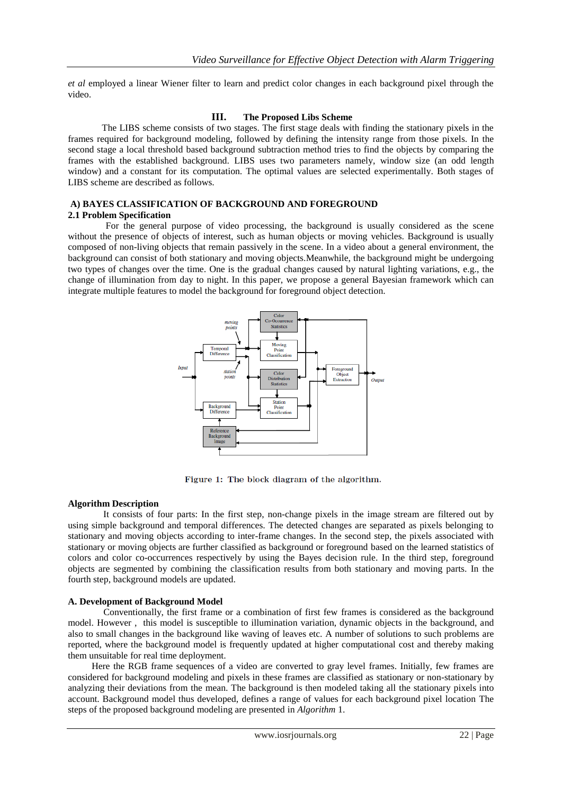*et al* employed a linear Wiener filter to learn and predict color changes in each background pixel through the video.

#### **III. The Proposed Libs Scheme**

The LIBS scheme consists of two stages. The first stage deals with finding the stationary pixels in the frames required for background modeling, followed by defining the intensity range from those pixels. In the second stage a local threshold based background subtraction method tries to find the objects by comparing the frames with the established background. LIBS uses two parameters namely, window size (an odd length window) and a constant for its computation. The optimal values are selected experimentally. Both stages of LIBS scheme are described as follows.

## **A) BAYES CLASSIFICATION OF BACKGROUND AND FOREGROUND**

### **2.1 Problem Specification**

 For the general purpose of video processing, the background is usually considered as the scene without the presence of objects of interest, such as human objects or moving vehicles. Background is usually composed of non-living objects that remain passively in the scene. In a video about a general environment, the background can consist of both stationary and moving objects.Meanwhile, the background might be undergoing two types of changes over the time. One is the gradual changes caused by natural lighting variations, e.g., the change of illumination from day to night. In this paper, we propose a general Bayesian framework which can integrate multiple features to model the background for foreground object detection.



Figure 1: The block diagram of the algorithm.

#### **Algorithm Description**

 It consists of four parts: In the first step, non-change pixels in the image stream are filtered out by using simple background and temporal differences. The detected changes are separated as pixels belonging to stationary and moving objects according to inter-frame changes. In the second step, the pixels associated with stationary or moving objects are further classified as background or foreground based on the learned statistics of colors and color co-occurrences respectively by using the Bayes decision rule. In the third step, foreground objects are segmented by combining the classification results from both stationary and moving parts. In the fourth step, background models are updated.

#### **A. Development of Background Model**

Conventionally, the first frame or a combination of first few frames is considered as the background model. However , this model is susceptible to illumination variation, dynamic objects in the background, and also to small changes in the background like waving of leaves etc. A number of solutions to such problems are reported, where the background model is frequently updated at higher computational cost and thereby making them unsuitable for real time deployment.

 Here the RGB frame sequences of a video are converted to gray level frames. Initially, few frames are considered for background modeling and pixels in these frames are classified as stationary or non-stationary by analyzing their deviations from the mean. The background is then modeled taking all the stationary pixels into account. Background model thus developed, defines a range of values for each background pixel location The steps of the proposed background modeling are presented in *Algorithm* 1.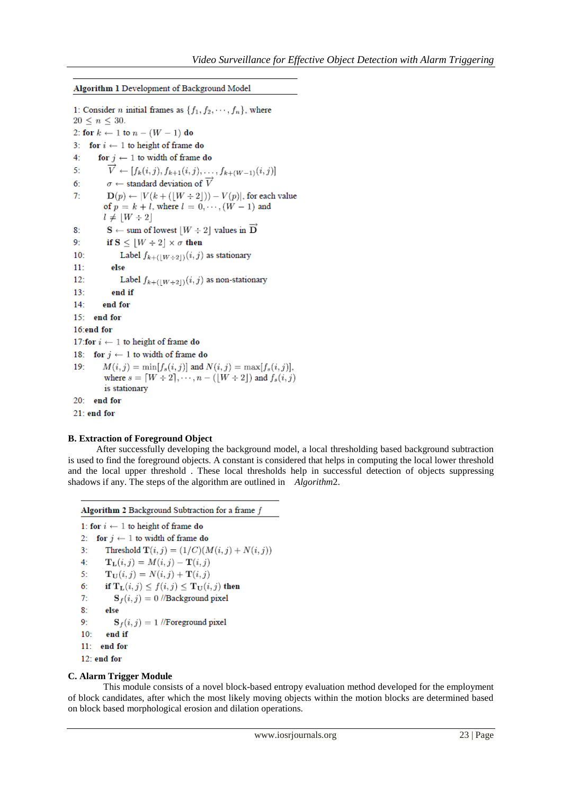#### Algorithm 1 Development of Background Model 1: Consider *n* initial frames as  $\{f_1, f_2, \dots, f_n\}$ , where  $20 \le n \le 30$ . 2: for  $k \leftarrow 1$  to  $n - (W - 1)$  do 3: for  $i \leftarrow 1$  to height of frame do for  $j \leftarrow 1$  to width of frame do  $4:$  $\overrightarrow{V} \leftarrow [f_k(i,j), f_{k+1}(i,j), \dots, f_{k+(W-1)}(i,j)]$ <br> $\sigma \leftarrow \text{standard deviation of } \overrightarrow{V}$  $5<sup>2</sup>$  $6<sup>2</sup>$  $\mathbf{D}(p) \leftarrow |V(k + (\lfloor W \div 2 \rfloor)) - V(p)|$ , for each value  $7<sup>1</sup>$ of  $p = k + l$ , where  $l = 0, \dots, (W - 1)$  and  $l \neq \lfloor W \div 2 \rfloor$  $S \leftarrow$  sum of lowest  $|W \div 2|$  values in  $\overrightarrow{D}$  $8:$  $9:$ if  $S \leq |W \div 2| \times \sigma$  then  $10<sup>1</sup>$ Label  $f_{k+(|W+2|)}(i,j)$  as stationary  $11:$ else Label  $f_{k+(\lfloor W+2\rfloor)}(i,j)$  as non-stationary  $12:$  $13$ end if end for  $14<sup>2</sup>$  $15<sup>2</sup>$ end for 16:end for 17:for  $i \leftarrow 1$  to height of frame do 18: for  $j \leftarrow 1$  to width of frame do  $M(i, j) = \min[f_s(i, j)]$  and  $N(i, j) = \max[f_s(i, j)]$ ,  $19:$ where  $s = [W \div 2], \dots, n - (|W \div 2|)$  and  $f_s(i, j)$ is stationary 20: end for 21: end for

#### **B. Extraction of Foreground Object**

 After successfully developing the background model, a local thresholding based background subtraction is used to find the foreground objects. A constant is considered that helps in computing the local lower threshold and the local upper threshold . These local thresholds help in successful detection of objects suppressing shadows if any. The steps of the algorithm are outlined in *Algorithm*2.

Algorithm 2 Background Subtraction for a frame f

```
1: for i \leftarrow 1 to height of frame do
2: for i \leftarrow 1 to width of frame do
3:Threshold \mathbf{T}(i, j) = (1/C)(M(i, j) + N(i, j))4:\mathbf{T}_{\mathbf{L}}(i,j) = M(i,j) - \mathbf{T}(i,j)\mathbf{T}_{\text{II}}(i, j) = N(i, j) + \mathbf{T}(i, j)5:6:if \mathbf{T}_{\mathbf{L}}(i, j) \leq f(i, j) \leq \mathbf{T}_{\mathbf{U}}(i, j) then
            S_f(i, j) = 0 //Background pixel
7:8:else
9:S_f(i, j) = 1 //Foreground pixel
10<sup>1</sup>end if
11: end for
12: end for
```
#### **C. Alarm Trigger Module**

This module consists of a novel block-based entropy evaluation method developed for the employment of block candidates, after which the most likely moving objects within the motion blocks are determined based on block based morphological erosion and dilation operations.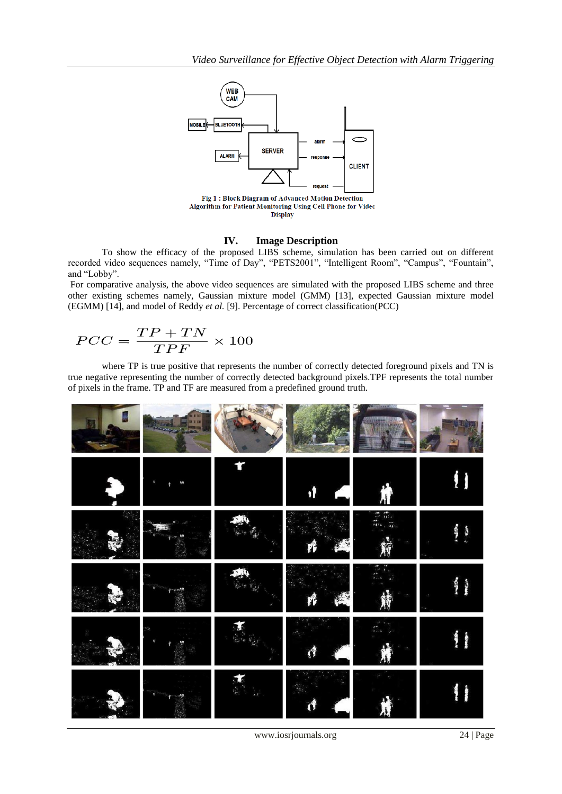

#### **IV. Image Description**

To show the efficacy of the proposed LIBS scheme, simulation has been carried out on different recorded video sequences namely, "Time of Day", "PETS2001", "Intelligent Room", "Campus", "Fountain", and "Lobby".

For comparative analysis, the above video sequences are simulated with the proposed LIBS scheme and three other existing schemes namely, Gaussian mixture model (GMM) [13], expected Gaussian mixture model (EGMM) [14], and model of Reddy *et al.* [9]. Percentage of correct classification(PCC)

$$
PCC = \frac{TP + TN}{TPF} \times 100
$$

where TP is true positive that represents the number of correctly detected foreground pixels and TN is true negative representing the number of correctly detected background pixels.TPF represents the total number of pixels in the frame. TP and TF are measured from a predefined ground truth.



www.iosrjournals.org 24 | Page